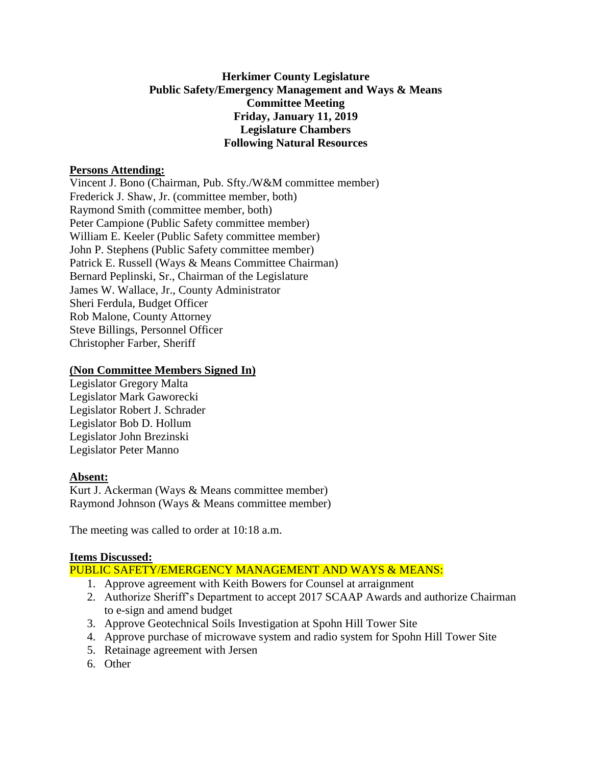# **Herkimer County Legislature Public Safety/Emergency Management and Ways & Means Committee Meeting Friday, January 11, 2019 Legislature Chambers Following Natural Resources**

### **Persons Attending:**

Vincent J. Bono (Chairman, Pub. Sfty./W&M committee member) Frederick J. Shaw, Jr. (committee member, both) Raymond Smith (committee member, both) Peter Campione (Public Safety committee member) William E. Keeler (Public Safety committee member) John P. Stephens (Public Safety committee member) Patrick E. Russell (Ways & Means Committee Chairman) Bernard Peplinski, Sr., Chairman of the Legislature James W. Wallace, Jr., County Administrator Sheri Ferdula, Budget Officer Rob Malone, County Attorney Steve Billings, Personnel Officer Christopher Farber, Sheriff

# **(Non Committee Members Signed In)**

Legislator Gregory Malta Legislator Mark Gaworecki Legislator Robert J. Schrader Legislator Bob D. Hollum Legislator John Brezinski Legislator Peter Manno

# **Absent:**

Kurt J. Ackerman (Ways & Means committee member) Raymond Johnson (Ways & Means committee member)

The meeting was called to order at 10:18 a.m.

# **Items Discussed:**

PUBLIC SAFETY/EMERGENCY MANAGEMENT AND WAYS & MEANS:

- 1. Approve agreement with Keith Bowers for Counsel at arraignment
- 2. Authorize Sheriff's Department to accept 2017 SCAAP Awards and authorize Chairman to e-sign and amend budget
- 3. Approve Geotechnical Soils Investigation at Spohn Hill Tower Site
- 4. Approve purchase of microwave system and radio system for Spohn Hill Tower Site
- 5. Retainage agreement with Jersen
- 6. Other